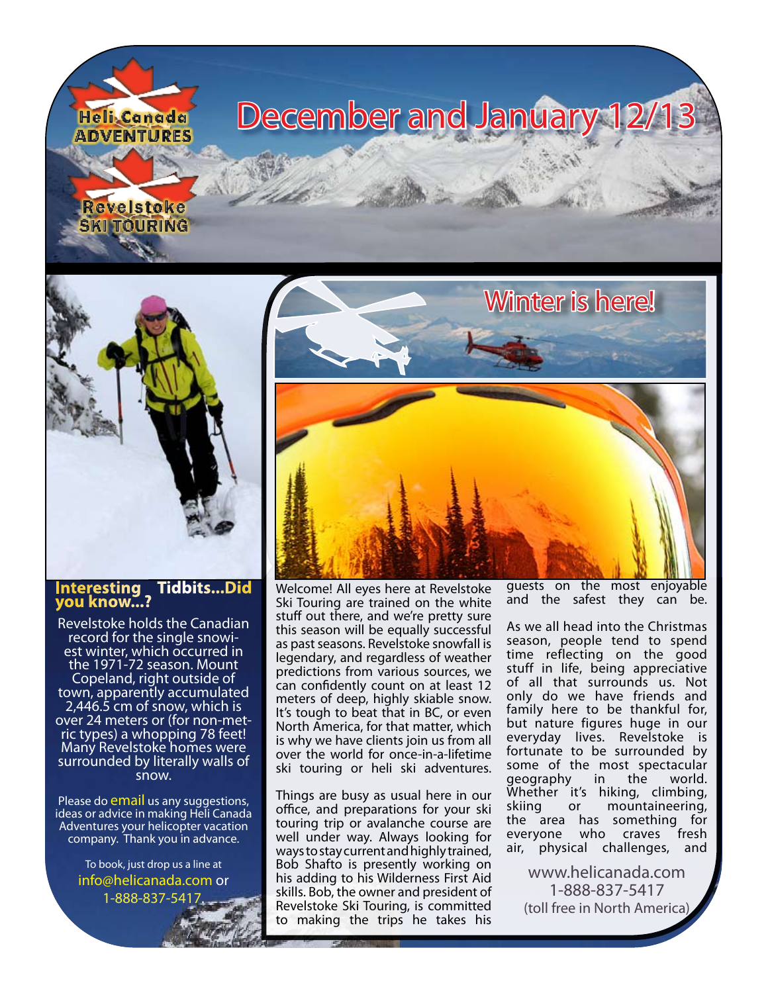



## **Interesting Tidbits...Did you know...?**

Revelstoke holds the Canadian record for the single snowi- est winter, which occurred in the 1971-72 season. Mount Copeland, right outside of town, apparently accumulated 2,446.5 cm of snow, which is over 24 meters or (for non-met-<br>ric types) a whopping 78 feet! Many Revelstoke homes were surrounded by literally walls of snow.

Please do [email](mailto:info@helicanada.com) us any suggestions, ideas or advice in making Heli Canada Adventures your helicopter vacation company. Thank you in advance.

> To book, just drop us a line at [info@helicanada.com](mailto:info@helicanada.com) or 1-888-837-541



Welcome! All eyes here at Revelstoke Ski Touring are trained on the white stuff out there, and we're pretty sure this season will be equally successful as past seasons. Revelstoke snowfall is legendary, and regardless of weather predictions from various sources, we can confidently count on at least 12 meters of deep, highly skiable snow. It's tough to beat that in BC, or even North America, for that matter, which is why we have clients join us from all over the world for once-in-a-lifetime ski touring or heli ski adventures.

Things are busy as usual here in our office, and preparations for your ski touring trip or avalanche course are well under way. Always looking for ways to stay current and highly trained, Bob Shafto is presently working on his adding to his Wilderness First Aid skills. Bob, the owner and president of Revelstoke Ski Touring, is committed to making the trips he takes his guests on the most enjoyable and the safest they can be.

As we all head into the Christmas season, people tend to spend time reflecting on the good stuff in life, being appreciative of all that surrounds us. Not only do we have friends and family here to be thankful for, but nature figures huge in our everyday lives. Revelstoke is fortunate to be surrounded by some of the most spectacular<br>geography in the world. geography Whether it's hiking, climbing, skiing or mountaineering, the area has something for everyone who craves fresh air, physical challenges, and

[www.helicanada.com](http://www.helicanada.com) 1-888-837-5417 (toll free in North America)